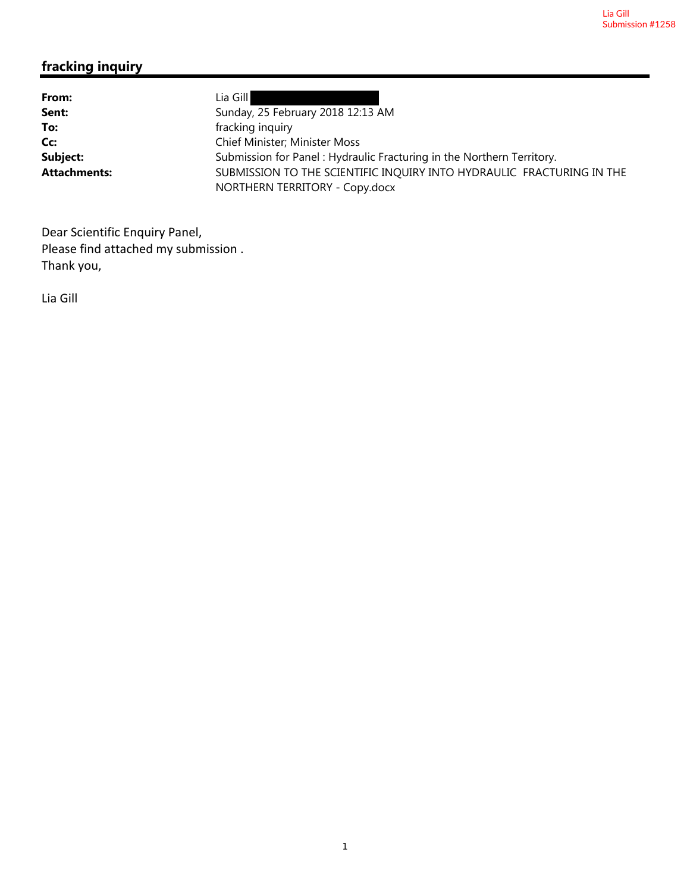## **fracking inquiry**

| From:               | Lia Gill                                                                                                |
|---------------------|---------------------------------------------------------------------------------------------------------|
| Sent:               | Sunday, 25 February 2018 12:13 AM                                                                       |
| To:                 | fracking inquiry                                                                                        |
| Cc:                 | Chief Minister; Minister Moss                                                                           |
| Subject:            | Submission for Panel: Hydraulic Fracturing in the Northern Territory.                                   |
| <b>Attachments:</b> | SUBMISSION TO THE SCIENTIFIC INQUIRY INTO HYDRAULIC FRACTURING IN THE<br>NORTHERN TERRITORY - Copy.docx |

Dear Scientific Enquiry Panel, Please find attached my submission . Thank you,

Lia Gill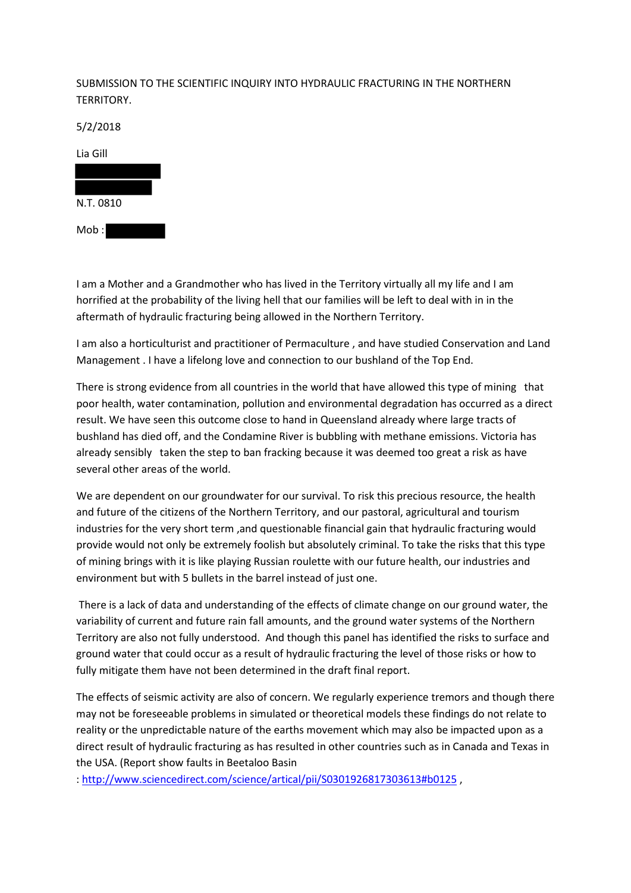## SUBMISSION TO THE SCIENTIFIC INQUIRY INTO HYDRAULIC FRACTURING IN THE NORTHERN TERRITORY.

5/2/2018



I am a Mother and a Grandmother who has lived in the Territory virtually all my life and I am horrified at the probability of the living hell that our families will be left to deal with in in the aftermath of hydraulic fracturing being allowed in the Northern Territory.

I am also a horticulturist and practitioner of Permaculture , and have studied Conservation and Land Management . I have a lifelong love and connection to our bushland of the Top End.

There is strong evidence from all countries in the world that have allowed this type of mining that poor health, water contamination, pollution and environmental degradation has occurred as a direct result. We have seen this outcome close to hand in Queensland already where large tracts of bushland has died off, and the Condamine River is bubbling with methane emissions. Victoria has already sensibly taken the step to ban fracking because it was deemed too great a risk as have several other areas of the world.

We are dependent on our groundwater for our survival. To risk this precious resource, the health and future of the citizens of the Northern Territory, and our pastoral, agricultural and tourism industries for the very short term ,and questionable financial gain that hydraulic fracturing would provide would not only be extremely foolish but absolutely criminal. To take the risks that this type of mining brings with it is like playing Russian roulette with our future health, our industries and environment but with 5 bullets in the barrel instead of just one.

There is a lack of data and understanding of the effects of climate change on our ground water, the variability of current and future rain fall amounts, and the ground water systems of the Northern Territory are also not fully understood. And though this panel has identified the risks to surface and ground water that could occur as a result of hydraulic fracturing the level of those risks or how to fully mitigate them have not been determined in the draft final report.

The effects of seismic activity are also of concern. We regularly experience tremors and though there may not be foreseeable problems in simulated or theoretical models these findings do not relate to reality or the unpredictable nature of the earths movement which may also be impacted upon as a direct result of hydraulic fracturing as has resulted in other countries such as in Canada and Texas in the USA. (Report show faults in Beetaloo Basin

: http://www.sciencedirect.com/science/artical/pii/S0301926817303613#b0125 ,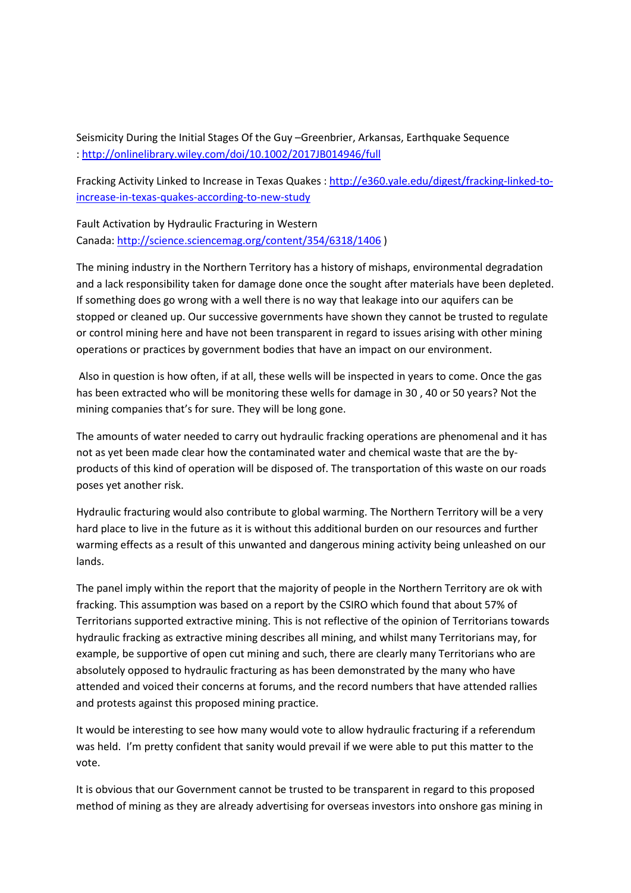Seismicity During the Initial Stages Of the Guy –Greenbrier, Arkansas, Earthquake Sequence : http://onlinelibrary.wiley.com/doi/10.1002/2017JB014946/full

Fracking Activity Linked to Increase in Texas Quakes : http://e360.yale.edu/digest/fracking-linked-toincrease-in-texas-quakes-according-to-new-study

Fault Activation by Hydraulic Fracturing in Western Canada: http://science.sciencemag.org/content/354/6318/1406 )

The mining industry in the Northern Territory has a history of mishaps, environmental degradation and a lack responsibility taken for damage done once the sought after materials have been depleted. If something does go wrong with a well there is no way that leakage into our aquifers can be stopped or cleaned up. Our successive governments have shown they cannot be trusted to regulate or control mining here and have not been transparent in regard to issues arising with other mining operations or practices by government bodies that have an impact on our environment.

Also in question is how often, if at all, these wells will be inspected in years to come. Once the gas has been extracted who will be monitoring these wells for damage in 30 , 40 or 50 years? Not the mining companies that's for sure. They will be long gone.

The amounts of water needed to carry out hydraulic fracking operations are phenomenal and it has not as yet been made clear how the contaminated water and chemical waste that are the byproducts of this kind of operation will be disposed of. The transportation of this waste on our roads poses yet another risk.

Hydraulic fracturing would also contribute to global warming. The Northern Territory will be a very hard place to live in the future as it is without this additional burden on our resources and further warming effects as a result of this unwanted and dangerous mining activity being unleashed on our lands.

The panel imply within the report that the majority of people in the Northern Territory are ok with fracking. This assumption was based on a report by the CSIRO which found that about 57% of Territorians supported extractive mining. This is not reflective of the opinion of Territorians towards hydraulic fracking as extractive mining describes all mining, and whilst many Territorians may, for example, be supportive of open cut mining and such, there are clearly many Territorians who are absolutely opposed to hydraulic fracturing as has been demonstrated by the many who have attended and voiced their concerns at forums, and the record numbers that have attended rallies and protests against this proposed mining practice.

It would be interesting to see how many would vote to allow hydraulic fracturing if a referendum was held. I'm pretty confident that sanity would prevail if we were able to put this matter to the vote.

It is obvious that our Government cannot be trusted to be transparent in regard to this proposed method of mining as they are already advertising for overseas investors into onshore gas mining in